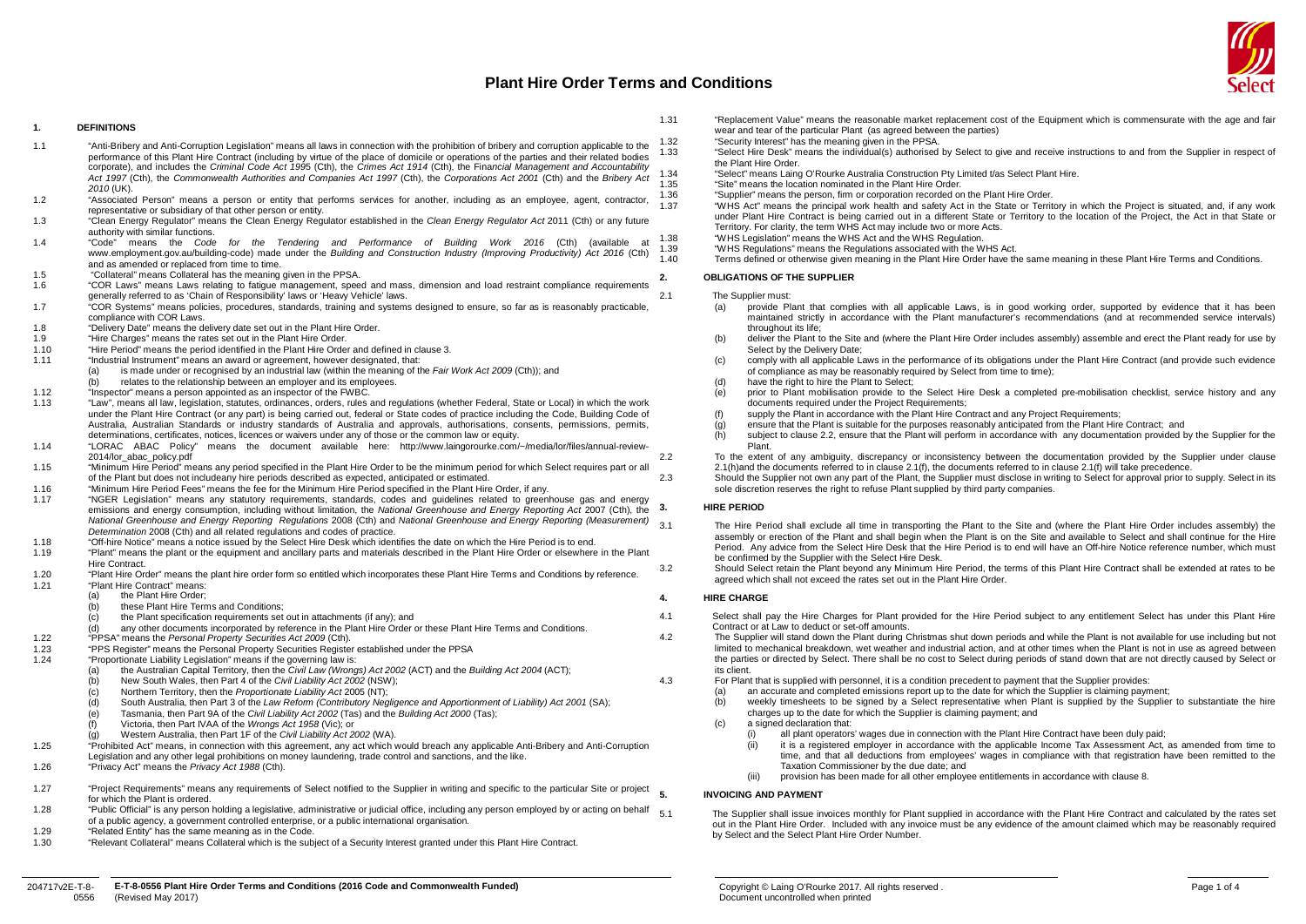#### **1. DEFINITIONS**

- 1.1 "Anti-Bribery and Anti-Corruption Legislation" means all laws in connection with the prohibition of bribery and corruption applicable to the performance of this Plant Hire Contract (including by virtue of the place of domicile or operations of the parties and their related bodies corporate), and includes the *Criminal Code Act 199*5 (Cth), the *Crimes Act 1914* (Cth), the Fina*ncial Management and Accountability Act 1997* (Cth), the *Commonwealth Authorities and Companies Act 1997* (Cth), the *Corporations Act 2001* (Cth) and the *Bribery Act 2010* (UK).
- 1.2 "Associated Person" means a person or entity that performs services for another, including as an employee, agent, contractor, representative or subsidiary of that other person or entity.
- 1.3 "Clean Energy Regulator" means the Clean Energy Regulator established in the *Clean Energy Regulator Act* 2011 (Cth) or any future authority with similar functions.
- 1.4 "Code" means the *Code for the Tendering and Performance of Building Work 2016* (Cth) (available at www.employment.gov.au/building-code) made under the *Building and Construction Industry (Improving Productivity) Act 2016* (Cth) and as amended or replaced from time to time.
- 1.5 "Collateral" means Collateral has the meaning given in the PPSA.
- 1.6 "COR Laws" means Laws relating to fatigue management, speed and mass, dimension and load restraint compliance requirements generally referred to as 'Chain of Responsibility' laws or 'Heavy Vehicle' laws.
- 1.7 "COR Systems" means policies, procedures, standards, training and systems designed to ensure, so far as is reasonably practicable, compliance with COR Laws.
- 1.8 "Delivery Date" means the delivery date set out in the Plant Hire Order.
- 1.9 "Hire Charges" means the rates set out in the Plant Hire Order.<br>1.10 "Hire Period" means the period identified in the Plant Hire Order.
- 1.10 "Hire Period" means the period identified in the Plant Hire Order and defined in claus[e 3.](#page-0-0)<br>1.11 "Industrial Instrument" means an award or agreement, however designated, that:
- 1.11 "Industrial Instrument" means an award or agreement, however designated, that:
	- is made under or recognised by an industrial law (within the meaning of the *Fair Work Act 2009* (Cth)); and
- relates to the relationship between an employer and its employees.
- 1.12 "Inspector" means a person appointed as an inspector of the FWBC.<br>1.13 "Inspector" means all law legislation statutes ordinances orders rules in
- 1.13 "Law", means all law, legislation, statutes, ordinances, orders, rules and regulations (whether Federal, State or Local) in which the work under the Plant Hire Contract (or any part) is being carried out, federal or State codes of practice including the Code, Building Code of Australia, Australian Standards or industry standards of Australia and approvals, authorisations, consents, permissions, permits, determinations, certificates, notices, licences or waivers under any of those or the common law or equity.
- 1.14 "LORAC ABAC Policy" means the document available here: http://www.laingorourke.com/~/media/lor/files/annual-review-2014/lor\_abac\_policy.pdf
- 1.15 "Minimum Hire Period" means any period specified in the Plant Hire Order to be the minimum period for which Select requires part or all of the Plant but does not includeany hire periods described as expected, anticipated or estimated.
- 1.16 "Minimum Hire Period Fees" means the fee for the Minimum Hire Period specified in the Plant Hire Order, if any.
- 1.17 "NGER Legislation" means any statutory requirements, standards, codes and guidelines related to greenhouse gas and energy emissions and energy consumption, including without limitation, the *National Greenhouse and Energy Reporting Act* 2007 (Cth), the *National Greenhouse and Energy Reporting Regulations* 2008 (Cth) and *National Greenhouse and Energy Reporting (Measurement) Determination* 2008 (Cth) and all related regulations and codes of practice.
- 1.18 "Off-hire Notice" means a notice issued by the Select Hire Desk which identifies the date on which the Hire Period is to end.
- 1.19 "Plant" means the plant or the equipment and ancillary parts and materials described in the Plant Hire Order or elsewhere in the Plant Hire Contract.
- 1.20 "Plant Hire Order" means the plant hire order form so entitled which incorporates these Plant Hire Terms and Conditions by reference.<br>1.21 "Plant Hire Contract" means:
	- "Plant Hire Contract" means:<br>(a) the Plant Hire Order the Plant Hire Order:
	- these Plant Hire Terms and Conditions;
	- $(c)$  the Plant specification requirements set out in attachments (if any); and
	- any other documents incorporated by reference in the Plant Hire Order or these Plant Hire Terms and Conditions.
- 1.22 "PPSA" means the *Personal Property Securities Act 2009* (Cth).
- 1.23 "PPS Register" means the Personal Property Securities Register established under the PPSA<br>1.24 "Proportionate Liability Legislation" means if the governing law is:
- "Proportionate Liability Legislation" means if the governing law is:<br>(a) the Australian Capital Territory, then the Civil Law (Wrong
	- (a) the Australian Capital Territory, then the *Civil Law (Wrongs) Act 2002* (ACT) and the *Building Act 2004* (ACT);
	- (b) New South Wales, then Part 4 of the *Civil Liability Act 2002* (NSW);
	- (c) Northern Territory, then the *Proportionate Liability Act* 2005 (NT);
	- South Australia, then Part 3 of the *Law Reform (Contributory Negligence and Apportionment of Liability) Act 2001* (SA);
	- (e) Tasmania, then Part 9A of the *Civil Liability Act 2002* (Tas) and the *Building Act 2000* (Tas);
	- (f) Victoria, then Part IVAA of the *Wrongs Act 1958* (Vic); or
	- (g) Western Australia, then Part 1F of the *Civil Liability Act 2002* (WA).
- 1.25 "Prohibited Act" means, in connection with this agreement, any act which would breach any applicable Anti-Bribery and Anti-Corruption
- Legislation and any other legal prohibitions on money laundering, trade control and sanctions, and the like.
- 1.26 "Privacy Act" means the *Privacy Act 1988* (Cth).
- 1.27 "Project Requirements" means any requirements of Select notified to the Supplier in writing and specific to the particular Site or project  $\epsilon$ for which the Plant is ordered.
- 1.28 "Public Official" is any person holding a legislative, administrative or judicial office, including any person employed by or acting on behalf  $51$ of a public agency, a government controlled enterprise, or a public international organisation.
- 1.29 "Related Entity" has the same meaning as in the Code.<br>1.30 "Relevant Collateral" means Collateral which is the sub-
- 1.30 "Relevant Collateral" means Collateral which is the subject of a Security Interest granted under this Plant Hire Contract.
- 1.31 "Replacement Value" means the reasonable market replacement cost of the Equipment which is commensurate with the age and fair wear and tear of the particular Plant (as agreed between the parties)
- 1.32 "Security Interest" has the meaning given in the PPSA.
	- 1.33 "Select Hire Desk" means the individual(s) authorised by Select to give and receive instructions to and from the Supplier in respect of the Plant Hire Order.
- 1.34 "Select" means Laing O'Rourke Australia Construction Pty Limited t/as Select Plant Hire.<br>1.35 "Site" means the location pominated in the Plant Hire Order
- 1.35 "Site" means the location nominated in the Plant Hire Order.
- 1.36 "Supplier" means the person, firm or corporation recorded on the Plant Hire Order.
	- 1.37 "WHS Act" means the principal work health and safety Act in the State or Territory in which the Project is situated, and, if any work under Plant Hire Contract is being carried out in a different State or Territory to the location of the Project, the Act in that State or Territory. For clarity, the term WHS Act may include two or more Acts.
- 1.38 "WHS Legislation" means the WHS Act and the WHS Regulation.
- 1.39 "WHS Regulations" means the Regulations associated with the WHS Act.<br>1.40 Terms defined or otherwise given meaning in the Plant Hire Order have the
	- 1.40 Terms defined or otherwise given meaning in the Plant Hire Order have the same meaning in these Plant Hire Terms and Conditions.

#### **2. OBLIGATIONS OF THE SUPPLIER**

#### 2.1 The Supplier must:

- (a) provide Plant that complies with all applicable Laws, is in good working order, supported by evidence that it has been maintained strictly in accordance with the Plant manufacturer's recommendations (and at recommended service intervals) throughout its life;
- (b) deliver the Plant to the Site and (where the Plant Hire Order includes assembly) assemble and erect the Plant ready for use by Select by the Delivery Date;
- (c) comply with all applicable Laws in the performance of its obligations under the Plant Hire Contract (and provide such evidence of compliance as may be reasonably required by Select from time to time);
- (d) have the right to hire the Plant to Select;<br>(e) prior to Plant mobilisation provide to the
- (e) prior to Plant mobilisation provide to the Select Hire Desk a completed pre-mobilisation checklist, service history and any documents required under the Project Requirements;
- (f) supply the Plant in accordance with the Plant Hire Contract and any Project Requirements;
- $\langle g \rangle$  ensure that the Plant is suitable for the purposes reasonably anticipated from the Plant Hire Contract; and  $\langle h \rangle$  subject to clause 2.2, ensure that the Plant will perform in accordance with any documentation pr
- subject to claus[e 2.2,](#page-0-1) ensure that the Plant will perform in accordance with any documentation provided by the Supplier for the Plant.

<span id="page-0-3"></span><span id="page-0-2"></span><span id="page-0-1"></span>2.2 To the extent of any ambiguity, discrepancy or inconsistency between the documentation provided by the Supplier under clause [2.1\(h\)a](#page-0-2)nd the documents referred to in claus[e 2.1\(f\),](#page-0-3) the documents referred to in claus[e 2.1\(f\)](#page-0-3) will take precedence.

<span id="page-0-0"></span>2.3 Should the Supplier not own any part of the Plant, the Supplier must disclose in writing to Select for approval prior to supply. Select in its sole discretion reserves the right to refuse Plant supplied by third party companies.

#### **3. HIRE PERIOD**

The Hire Period shall exclude all time in transporting the Plant to the Site and (where the Plant Hire Order includes assembly) the assembly or erection of the Plant and shall begin when the Plant is on the Site and available to Select and shall continue for the Hire Period. Any advice from the Select Hire Desk that the Hire Period is to end will have an Off-hire Notice reference number, which must be confirmed by the Supplier with the Select Hire Desk.

3.2 Should Select retain the Plant beyond any Minimum Hire Period, the terms of this Plant Hire Contract shall be extended at rates to be agreed which shall not exceed the rates set out in the Plant Hire Order.

## <span id="page-0-4"></span>**4. HIRE CHARGE**

- 4.1 Select shall pay the Hire Charges for Plant provided for the Hire Period subject to any entitlement Select has under this Plant Hire Contract or at Law to deduct or set-off amounts.
- 4.2 The Supplier will stand down the Plant during Christmas shut down periods and while the Plant is not available for use including but not limited to mechanical breakdown, wet weather and industrial action, and at other times when the Plant is not in use as agreed between the parties or directed by Select. There shall be no cost to Select during periods of stand down that are not directly caused by Select or its client.
- <span id="page-0-6"></span><span id="page-0-5"></span>4.3 For Plant that is supplied with personnel, it is a condition precedent to payment that the Supplier provides:
	- an accurate and completed emissions report up to the date for which the Supplier is claiming payment;
	- (b) weekly timesheets to be signed by a Select representative when Plant is supplied by the Supplier to substantiate the hire charges up to the date for which the Supplier is claiming payment; and
	- (c) a signed declaration that:
		- (i) all plant operators' wages due in connection with the Plant Hire Contract have been duly paid;
		- (ii) it is a registered employer in accordance with the applicable Income Tax Assessment Act, as amended from time to time, and that all deductions from employees' wages in compliance with that registration have been remitted to the Taxation Commissioner by the due date; and
		- (iii) provision has been made for all other employee entitlements in accordance with claus[e 8.](#page-1-0)

## **5. INVOICING AND PAYMENT**

The Supplier shall issue invoices monthly for Plant supplied in accordance with the Plant Hire Contract and calculated by the rates set out in the Plant Hire Order. Included with any invoice must be any evidence of the amount claimed which may be reasonably required by Select and the Select Plant Hire Order Number.

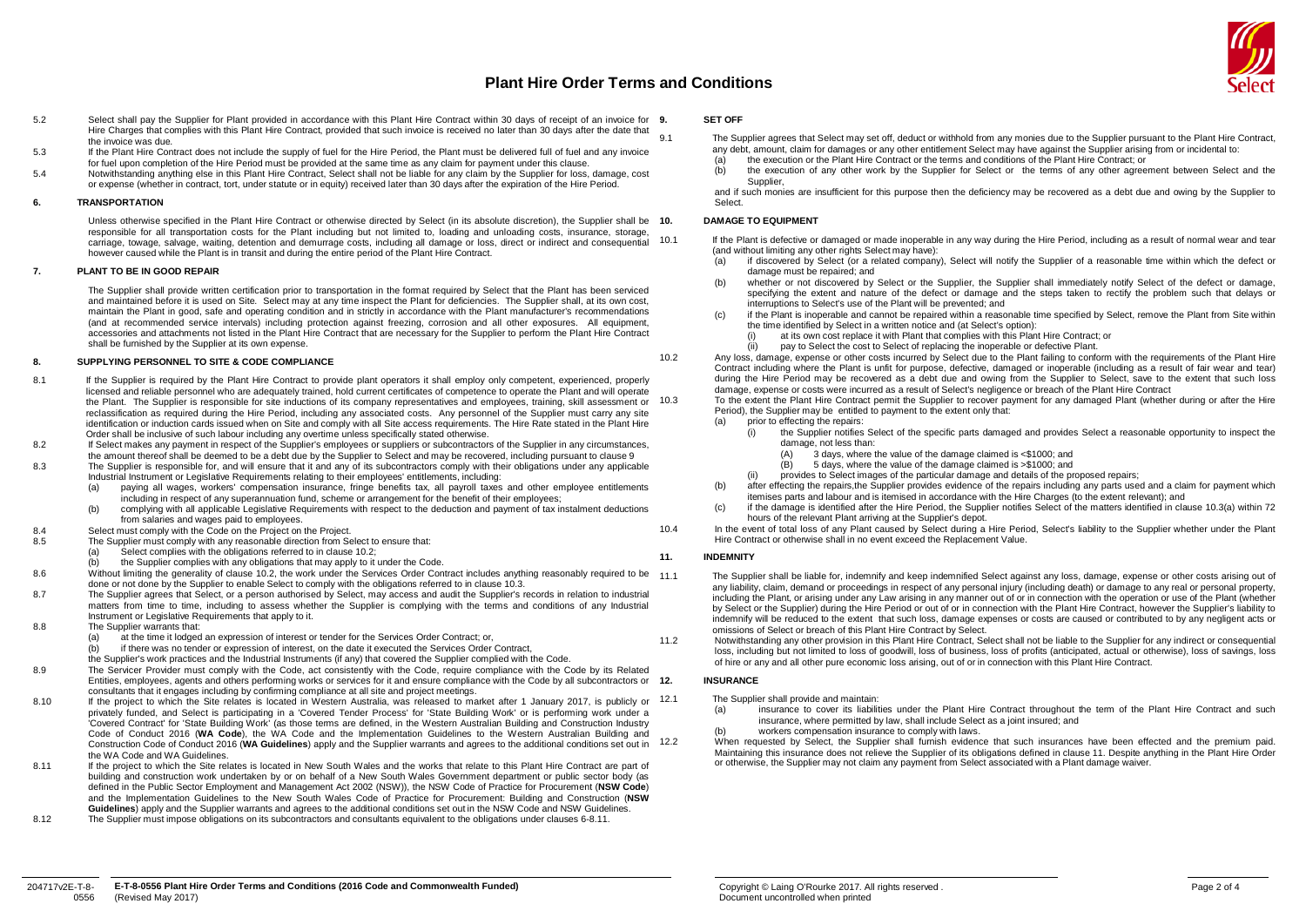

- 5.2 Select shall pay the Supplier for Plant provided in accordance with this Plant Hire Contract within 30 days of receipt of an invoice for 9. Hire Charges that complies with this Plant Hire Contract, provided that such invoice is received no later than 30 days after the date that the invoice was due.
- 5.3 If the Plant Hire Contract does not include the supply of fuel for the Hire Period, the Plant must be delivered full of fuel and any invoice for fuel upon completion of the Hire Period must be provided at the same time as any claim for payment under this clause.
- 5.4 Notwithstanding anything else in this Plant Hire Contract, Select shall not be liable for any claim by the Supplier for loss, damage, cost or expense (whether in contract, tort, under statute or in equity) received later than 30 days after the expiration of the Hire Period.

#### **6. TRANSPORTATION**

Unless otherwise specified in the Plant Hire Contract or otherwise directed by Select (in its absolute discretion), the Supplier shall be 10. responsible for all transportation costs for the Plant including but not limited to, loading and unloading costs, insurance, storage, carriage, towage, salvage, waiting, detention and demurrage costs, including all damage or loss, direct or indirect and consequential however caused while the Plant is in transit and during the entire period of the Plant Hire Contract.

## **7. PLANT TO BE IN GOOD REPAIR**

The Supplier shall provide written certification prior to transportation in the format required by Select that the Plant has been serviced and maintained before it is used on Site. Select may at any time inspect the Plant for deficiencies. The Supplier shall, at its own cost, maintain the Plant in good, safe and operating condition and in strictly in accordance with the Plant manufacturer's recommendations (and at recommended service intervals) including protection against freezing, corrosion and all other exposures. All equipment, accessories and attachments not listed in the Plant Hire Contract that are necessary for the Supplier to perform the Plant Hire Contract shall be furnished by the Supplier at its own expense.

## <span id="page-1-0"></span>**8. SUPPLYING PERSONNEL TO SITE & CODE COMPLIANCE**

- <span id="page-1-4"></span>8.1 If the Supplier is required by the Plant Hire Contract to provide plant operators it shall employ only competent, experienced, properly licensed and reliable personnel who are adequately trained, hold current certificates of competence to operate the Plant and will operate the Plant. The Supplier is responsible for site inductions of its company representatives and employees, training, skill assessment or 10.3 reclassification as required during the Hire Period, including any associated costs. Any personnel of the Supplier must carry any site identification or induction cards issued when on Site and comply with all Site access requirements. The Hire Rate stated in the Plant Hire Order shall be inclusive of such labour including any overtime unless specifically stated otherwise.
- 8.2 If Select makes any payment in respect of the Supplier's employees or suppliers or subcontractors of the Supplier in any circumstances, the amount thereof shall be deemed to be a debt due by the Supplier to Select and may be recovered, including pursuant to claus[e 9](#page-1-1)
- 8.3 The Supplier is responsible for, and will ensure that it and any of its subcontractors comply with their obligations under any applicable Industrial Instrument or Legislative Requirements relating to their employees' entitlements, including:
	- (a) paying all wages, workers' compensation insurance, fringe benefits tax, all payroll taxes and other employee entitlements including in respect of any superannuation fund, scheme or arrangement for the benefit of their employees;
	- (b) complying with all applicable Legislative Requirements with respect to the deduction and payment of tax instalment deductions from salaries and wages paid to employees.
- 8.4 Select must comply with the Code on the Project on the Project.<br>8.5 The Supplier must comply with any reasonable direction from Se
- The Supplier must comply with any reasonable direction from Select to ensure that:
	- Select complies with the obligations referred to in claus[e 10.2;](#page-1-2)
	- the Supplier complies with any obligations that may apply to it under the Code.
- Without limiting the generality of clause [10.2,](#page-1-2) the work under the Services Order Contract includes anything reasonably required to be 11.1 done or not done by the Supplier to enable Select to comply with the obligations referred to in claus[e 10.3.](#page-1-3)
- 8.7 The Supplier agrees that Select, or a person authorised by Select, may access and audit the Supplier's records in relation to industrial matters from time to time, including to assess whether the Supplier is complying with the terms and conditions of any Industrial Instrument or Legislative Requirements that apply to it.
- 8.8 The Supplier warrants that:<br>(a) at the time it lodged
	- at the time it lodged an expression of interest or tender for the Services Order Contract; or,
	- if there was no tender or expression of interest, on the date it executed the Services Order Contract,
	- the Supplier's work practices and the Industrial Instruments (if any) that covered the Supplier complied with the Code.
- 8.9 The Servicer Provider must comply with the Code, act consistently with the Code, require compliance with the Code by its Related Entities, employees, agents and others performing works or services for it and ensure compliance with the Code by all subcontractors or 12. consultants that it engages including by confirming compliance at all site and project meetings.
- 8.10 If the project to which the Site relates is located in Western Australia, was released to market after 1 January 2017, is publicly or 12.1 privately funded, and Select is participating in a 'Covered Tender Process' for 'State Building Work' or is performing work under a 'Covered Contract' for 'State Building Work' (as those terms are defined, in the Western Australian Building and Construction Industry Code of Conduct 2016 (**WA Code**), the WA Code and the Implementation Guidelines to the Western Australian Building and Construction Code of Conduct 2016 (**WA Guidelines**) apply and the Supplier warrants and agrees to the additional conditions set out in the WA Code and WA Guidelines.
- <span id="page-1-5"></span>8.11 If the project to which the Site relates is located in New South Wales and the works that relate to this Plant Hire Contract are part of building and construction work undertaken by or on behalf of a New South Wales Government department or public sector body (as defined in the Public Sector Employment and Management Act 2002 (NSW)), the NSW Code of Practice for Procurement (**NSW Code**) and the Implementation Guidelines to the New South Wales Code of Practice for Procurement: Building and Construction (**NSW Guidelines**) apply and the Supplier warrants and agrees to the additional conditions set out in the NSW Code and NSW Guidelines.
- 8.12 The Supplier must impose obligations on its subcontractors and consultants equivalent to the obligations under clause[s 6-](#page-1-4)[8.11.](#page-1-5)

#### **9. SET OFF**

- <span id="page-1-1"></span>9.1 The Supplier agrees that Select may set off, deduct or withhold from any monies due to the Supplier pursuant to the Plant Hire Contract, any debt, amount, claim for damages or any other entitlement Select may have against the Supplier arising from or incidental to:<br>(a) the execution or the Plant Hire Contract or the terms and conditions of the Plant Hire Co
	- (a) the execution or the Plant Hire Contract or the terms and conditions of the Plant Hire Contract; or (b) the execution of any other work by the Supplier for Select or the terms of any other agree
	- the execution of any other work by the Supplier for Select or the terms of any other agreement between Select and the Supplier

and if such monies are insufficient for this purpose then the deficiency may be recovered as a debt due and owing by the Supplier to Select.

#### **10. DAMAGE TO EQUIPMENT**

10.1 If the Plant is defective or damaged or made inoperable in any way during the Hire Period, including as a result of normal wear and tear (and without limiting any other rights Select may have):<br>(a) if discovered by Select (or a related company

- if discovered by Select (or a related company), Select will notify the Supplier of a reasonable time within which the defect or damage must be repaired; and
- (b) whether or not discovered by Select or the Supplier, the Supplier shall immediately notify Select of the defect or damage, specifying the extent and nature of the defect or damage and the steps taken to rectify the problem such that delays or interruptions to Select's use of the Plant will be prevented; and
- (c) if the Plant is inoperable and cannot be repaired within a reasonable time specified by Select, remove the Plant from Site within the time identified by Select in a written notice and (at Select's option):
	- (i) at its own cost replace it with Plant that complies with this Plant Hire Contract; or (ii) pay to Select the cost to Select of replacing the inoperable or defective Plant.
	- pay to Select the cost to Select of replacing the inoperable or defective Plant.

<span id="page-1-3"></span><span id="page-1-2"></span>10.2 Any loss, damage, expense or other costs incurred by Select due to the Plant failing to conform with the requirements of the Plant Hire Contract including where the Plant is unfit for purpose, defective, damaged or inoperable (including as a result of fair wear and tear) during the Hire Period may be recovered as a debt due and owing from the Supplier to Select, save to the extent that such loss damage, expense or costs were incurred as a result of Select's negligence or breach of the Plant Hire Contract

10.3 To the extent the Plant Hire Contract permit the Supplier to recover payment for any damaged Plant (whether during or after the Hire Period), the Supplier may be entitled to payment to the extent only that:

- prior to effecting the repairs:
	- $\dot{y}$  the Supplier notifies Select of the specific parts damaged and provides Select a reasonable opportunity to inspect the damage, not less than:
		- (A) 3 days, where the value of the damage claimed is  $\leq$ \$1000; and (B) 5 days, where the value of the damage claimed is  $\geq$ \$1000; and
		- 5 days, where the value of the damage claimed is >\$1000; and
	- provides to Select images of the particular damage and details of the proposed repairs;
- (b) after effecting the repairs,the Supplier provides evidence of the repairs including any parts used and a claim for payment which itemises parts and labour and is itemised in accordance with the Hire Charges (to the extent relevant); and
- (c) if the damage is identified after the Hire Period, the Supplier notifies Select of the matters identified in claus[e 10.3\(a\)](#page-1-3) within 72 hours of the relevant Plant arriving at the Supplier's depot.
- 10.4 In the event of total loss of any Plant caused by Select during a Hire Period, Select's liability to the Supplier whether under the Plant Hire Contract or otherwise shall in no event exceed the Replacement Value.

## <span id="page-1-6"></span>**11. INDEMNITY**

11.1 The Supplier shall be liable for, indemnify and keep indemnified Select against any loss, damage, expense or other costs arising out of any liability, claim, demand or proceedings in respect of any personal injury (including death) or damage to any real or personal property, including the Plant, or arising under any Law arising in any manner out of or in connection with the operation or use of the Plant (whether by Select or the Supplier) during the Hire Period or out of or in connection with the Plant Hire Contract, however the Supplier's liability to indemnify will be reduced to the extent that such loss, damage expenses or costs are caused or contributed to by any negligent acts or omissions of Select or breach of this Plant Hire Contract by Select.

11.2 Notwithstanding any other provision in this Plant Hire Contract, Select shall not be liable to the Supplier for any indirect or consequential loss, including but not limited to loss of goodwill, loss of business, loss of profits (anticipated, actual or otherwise), loss of savings, loss of hire or any and all other pure economic loss arising, out of or in connection with this Plant Hire Contract.

## **12. INSURANCE**

The Supplier shall provide and maintain:

- (a) insurance to cover its liabilities under the Plant Hire Contract throughout the term of the Plant Hire Contract and such insurance, where permitted by law, shall include Select as a joint insured; and
- workers compensation insurance to comply with laws.

12.2 When requested by Select, the Supplier shall furnish evidence that such insurances have been effected and the premium paid. Maintaining this insurance does not relieve the Supplier of its obligations defined in claus[e 11.](#page-1-6) Despite anything in the Plant Hire Order or otherwise, the Supplier may not claim any payment from Select associated with a Plant damage waiver.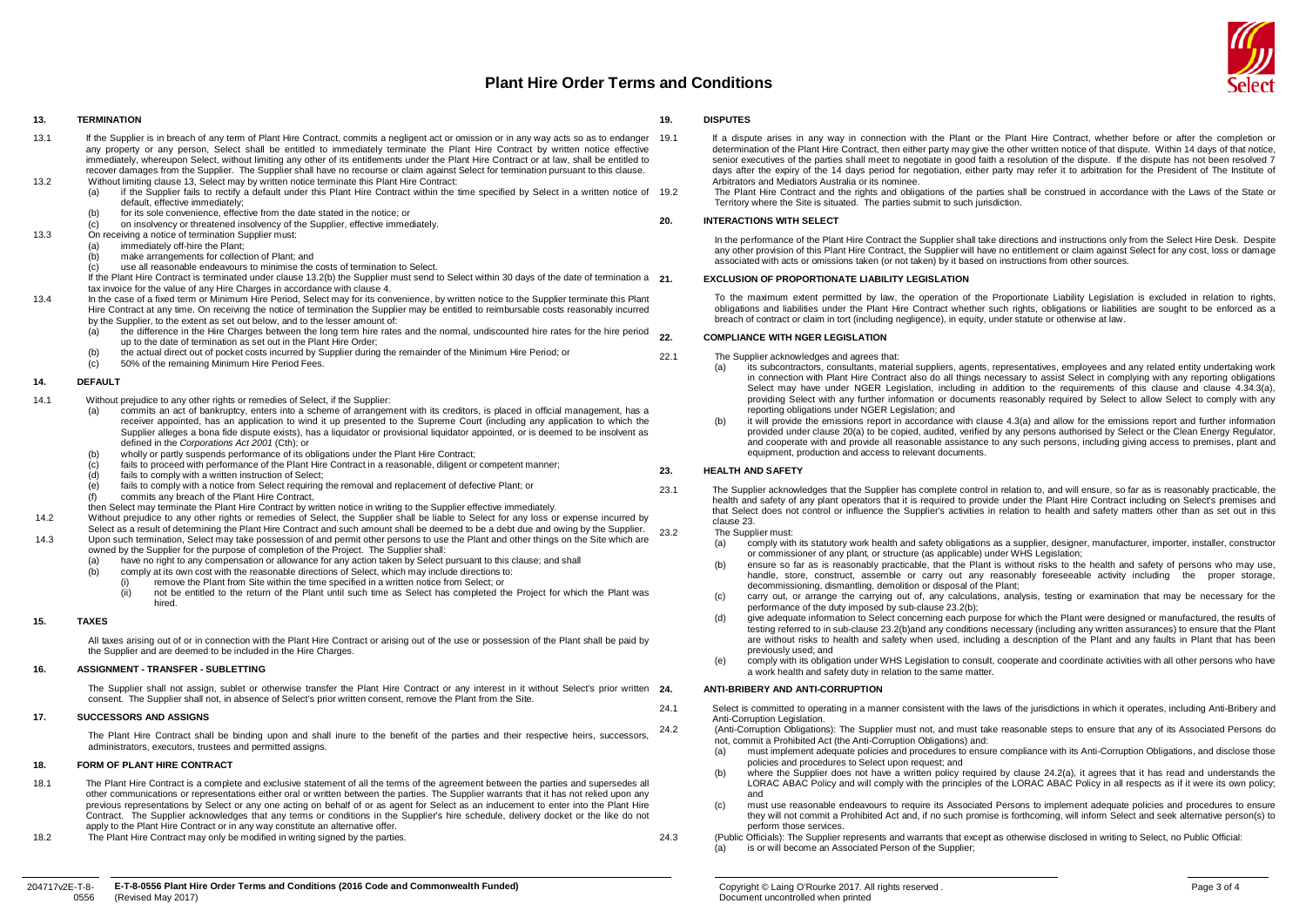

#### **13. TERMINATION**

- <span id="page-2-0"></span>13.1 If the Supplier is in breach of any term of Plant Hire Contract, commits a negligent act or omission or in any way acts so as to endanger 19.1 any property or any person, Select shall be entitled to immediately terminate the Plant Hire Contract by written notice effective immediately, whereupon Select, without limiting any other of its entitlements under the Plant Hire Contract or at law, shall be entitled to recover damages from the Supplier. The Supplier shall have no recourse or claim against Select for termination pursuant to this clause.
- 13.2 Without limiting claus[e 13,](#page-2-0) Select may by written notice terminate this Plant Hire Contract:<br>(a) if the Supplier fails to rectify a default under this Plant Hire Contract within the
	- if the Supplier fails to rectify a default under this Plant Hire Contract within the time specified by Select in a written notice of 19.2 default, effective immediately;
	- (b) for its sole convenience, effective from the date stated in the notice; or
	- (c) on insolvency or threatened insolvency of the Supplier, effective immediately.
- <span id="page-2-1"></span>13.3 On receiving a notice of termination Supplier must:<br>(a) immediately off-hire the Plant:
	- (a) immediately off-hire the Plant;<br>(b) make arrangements for collect
	- $\begin{bmatrix} 1 & 0 \\ 0 & 0 \end{bmatrix}$  make arrangements for collection of Plant; and  $\begin{bmatrix} 1 & 0 \\ 0 & 0 \end{bmatrix}$  is all reasonable endeavours to minimise the
	- the different contract to minimise the costs of termination to Select.

If the Plant Hire Contract is terminated under claus[e 13.2\(b\)](#page-2-1) the Supplier must send to Select within 30 days of the date of termination a 21 tax invoice for the value of any Hire Charges in accordance with claus[e 4.](#page-0-4)

- 13.4 In the case of a fixed term or Minimum Hire Period, Select may for its convenience, by written notice to the Supplier terminate this Plant Hire Contract at any time. On receiving the notice of termination the Supplier may be entitled to reimbursable costs reasonably incurred by the Supplier, to the extent as set out below, and to the lesser amount of:
	- (a) the difference in the Hire Charges between the long term hire rates and the normal, undiscounted hire rates for the hire period up to the date of termination as set out in the Plant Hire Order;
	- (b) the actual direct out of pocket costs incurred by Supplier during the remainder of the Minimum Hire Period; or<br>(c) 50% of the remaining Minimum Hire Period Fees.
	- 50% of the remaining Minimum Hire Period Fees.

## **14. DEFAULT**

- 14.1 Without prejudice to any other rights or remedies of Select, if the Supplier:
	- (a) commits an act of bankruptcy, enters into a scheme of arrangement with its creditors, is placed in official management, has a receiver appointed, has an application to wind it up presented to the Supreme Court (including any application to which the Supplier alleges a bona fide dispute exists), has a liquidator or provisional liquidator appointed, or is deemed to be insolvent as defined in the *Corporations Act 2001* (Cth); or
	- (b) wholly or partly suspends performance of its obligations under the Plant Hire Contract;<br>(c) fails to proceed with performance of the Plant Hire Contract in a reasonable, diligent or
	- (c) fails to proceed with performance of the Plant Hire Contract in a reasonable, diligent or competent manner;<br>(d) fails to comply with a written instruction of Select:
	- $\begin{array}{lll} \text{(d)} & \text{fails to comply with a written instruction of Select;} \\ \text{(e)} & \text{fails to comply with a notice from Select requiring} \end{array}$
	- fails to comply with a notice from Select requiring the removal and replacement of defective Plant; or
	- (f) commits any breach of the Plant Hire Contract,
	- then Select may terminate the Plant Hire Contract by written notice in writing to the Supplier effective immediately.
- 14.2 Without prejudice to any other rights or remedies of Select, the Supplier shall be liable to Select for any loss or expense incurred by
- Select as a result of determining the Plant Hire Contract and such amount shall be deemed to be a debt due and owing by the Supplier. 14.3 Upon such termination, Select may take possession of and permit other persons to use the Plant and other things on the Site which are
	- owned by the Supplier for the purpose of completion of the Project. The Supplier shall:
	- (a) have no right to any compensation or allowance for any action taken by Select pursuant to this clause; and shall<br>(b) comply at its own cost with the reasonable directions of Select. which may include directions to: comply at its own cost with the reasonable directions of Select, which may include directions to:
		-
		- (i)  $\overline{\phantom{a}}$  remove the Plant from Site within the time specified in a written notice from Select; or (ii) on the entitled to the return of the Plant until such time as Select has completed the Find to the entitled to the return of the Plant until such time as Select has completed the Project for which the Plant was hired.

## **15. TAXES**

All taxes arising out of or in connection with the Plant Hire Contract or arising out of the use or possession of the Plant shall be paid by the Supplier and are deemed to be included in the Hire Charges.

## **16. ASSIGNMENT - TRANSFER - SUBLETTING**

The Supplier shall not assign, sublet or otherwise transfer the Plant Hire Contract or any interest in it without Select's prior written 24. consent. The Supplier shall not, in absence of Select's prior written consent, remove the Plant from the Site.

## **17. SUCCESSORS AND ASSIGNS**

The Plant Hire Contract shall be binding upon and shall inure to the benefit of the parties and their respective heirs, successors, administrators, executors, trustees and permitted assigns.

## **18. FORM OF PLANT HIRE CONTRACT**

- 18.1 The Plant Hire Contract is a complete and exclusive statement of all the terms of the agreement between the parties and supersedes all other communications or representations either oral or written between the parties. The Supplier warrants that it has not relied upon any previous representations by Select or any one acting on behalf of or as agent for Select as an inducement to enter into the Plant Hire Contract. The Supplier acknowledges that any terms or conditions in the Supplier's hire schedule, delivery docket or the like do not apply to the Plant Hire Contract or in any way constitute an alternative offer.
- 18.2 The Plant Hire Contract may only be modified in writing signed by the parties.

## **19. DISPUTES**

If a dispute arises in any way in connection with the Plant or the Plant Hire Contract, whether before or after the completion or determination of the Plant Hire Contract, then either party may give the other written notice of that dispute. Within 14 days of that notice, senior executives of the parties shall meet to negotiate in good faith a resolution of the dispute. If the dispute has not been resolved 7 days after the expiry of the 14 days period for negotiation, either party may refer it to arbitration for the President of The Institute of Arbitrators and Mediators Australia or its nominee.

19.2 The Plant Hire Contract and the rights and obligations of the parties shall be construed in accordance with the Laws of the State or Territory where the Site is situated. The parties submit to such jurisdiction.

## **20. INTERACTIONS WITH SELECT**

In the performance of the Plant Hire Contract the Supplier shall take directions and instructions only from the Select Hire Desk. Despite any other provision of this Plant Hire Contract, the Supplier will have no entitlement or claim against Select for any cost, loss or damage associated with acts or omissions taken (or not taken) by it based on instructions from other sources.

#### **21. EXCLUSION OF PROPORTIONATE LIABILITY LEGISLATION**

To the maximum extent permitted by law, the operation of the Proportionate Liability Legislation is excluded in relation to rights, obligations and liabilities under the Plant Hire Contract whether such rights, obligations or liabilities are sought to be enforced as a breach of contract or claim in tort (including negligence), in equity, under statute or otherwise at law.

## **22. COMPLIANCE WITH NGER LEGISLATION**

- <span id="page-2-2"></span>22.1 The Supplier acknowledges and agrees that:<br>(a) its subcontractors consultants mate
	- (a) its subcontractors, consultants, material suppliers, agents, representatives, employees and any related entity undertaking work in connection with Plant Hire Contract also do all things necessary to assist Select in complying with any reporting obligations Select may have under NGER Legislation, including in addition to the requirements of this clause and clause 4.34.3(a), providing Select with any further information or documents reasonably required by Select to allow Select to comply with any reporting obligations under NGER Legislation; and
	- it will provide the emissions report in accordance with clause [4.3\(a\)](#page-0-6) and allow for the emissions report and further information provided under claus[e 20\(a\)](#page-2-2) to be copied, audited, verified by any persons authorised by Select or the Clean Energy Regulator, and cooperate with and provide all reasonable assistance to any such persons, including giving access to premises, plant and equipment, production and access to relevant documents.

## <span id="page-2-3"></span>**23. HEALTH AND SAFETY**

23.1 The Supplier acknowledges that the Supplier has complete control in relation to, and will ensure, so far as is reasonably practicable, the health and safety of any plant operators that it is required to provide under the Plant Hire Contract including on Select's premises and that Select does not control or influence the Supplier's activities in relation to health and safety matters other than as set out in this claus[e 23.](#page-2-3)

- <span id="page-2-4"></span>23.2 The Supplier must:<br>(a) comply with comply with its statutory work health and safety obligations as a supplier, designer, manufacturer, importer, installer, constructor or commissioner of any plant, or structure (as applicable) under WHS Legislation;
	- (b) ensure so far as is reasonably practicable, that the Plant is without risks to the health and safety of persons who may use, handle, store, construct, assemble or carry out any reasonably foreseeable activity including the proper storage, decommissioning, dismantling, demolition or disposal of the Plant;
	- carry out, or arrange the carrying out of, any calculations, analysis, testing or examination that may be necessary for the performance of the duty imposed by sub-claus[e 23.2\(b\);](#page-2-4)
	- (d) give adequate information to Select concerning each purpose for which the Plant were designed or manufactured, the results of testing referred to in sub-claus[e 23.2\(b\)a](#page-2-4)nd any conditions necessary (including any written assurances) to ensure that the Plant are without risks to health and safety when used, including a description of the Plant and any faults in Plant that has been previously used; and
	- (e) comply with its obligation under WHS Legislation to consult, cooperate and coordinate activities with all other persons who have a work health and safety duty in relation to the same matter.

## **24. ANTI-BRIBERY AND ANTI-CORRUPTION**

<span id="page-2-7"></span>24.1 Select is committed to operating in a manner consistent with the laws of the jurisdictions in which it operates, including Anti-Bribery and Anti-Corruption Legislation.

<span id="page-2-5"></span>24.2 (Anti-Corruption Obligations): The Supplier must not, and must take reasonable steps to ensure that any of its Associated Persons do not, commit a Prohibited Act (the Anti-Corruption Obligations) and:

- (a) must implement adequate policies and procedures to ensure compliance with its Anti-Corruption Obligations, and disclose those policies and procedures to Select upon request; and
- (b) where the Supplier does not have a written policy required by clause [24.2\(a\),](#page-2-5) it agrees that it has read and understands the LORAC ABAC Policy and will comply with the principles of the LORAC ABAC Policy in all respects as if it were its own policy; and
- (c) must use reasonable endeavours to require its Associated Persons to implement adequate policies and procedures to ensure they will not commit a Prohibited Act and, if no such promise is forthcoming, will inform Select and seek alternative person(s) to perform those services.
- <span id="page-2-6"></span>24.3 (Public Officials): The Supplier represents and warrants that except as otherwise disclosed in writing to Select, no Public Official:
	- (a) is or will become an Associated Person of the Supplier;